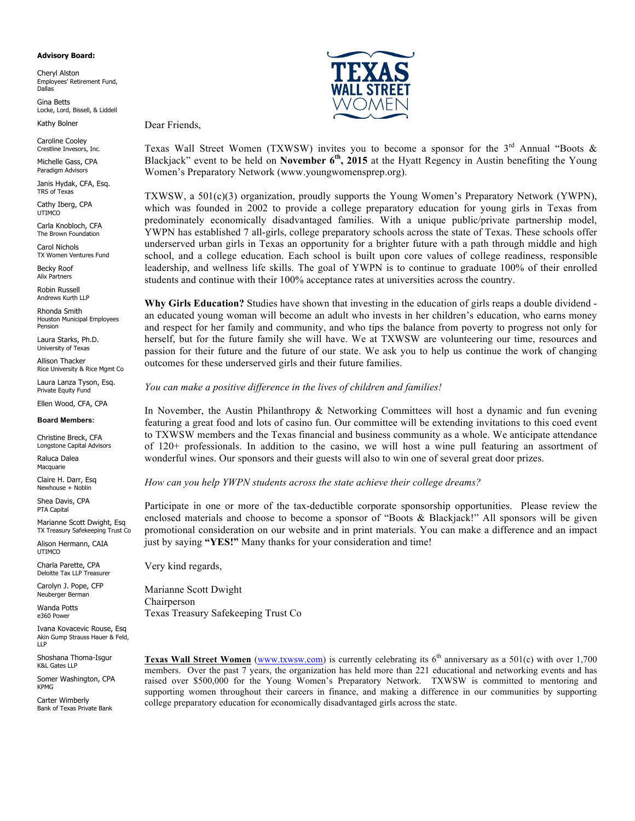### **Advisory Board:**

Cheryl Alston Employees' Retirement Fund, Dallas

Gina Betts Locke, Lord, Bissell, & Liddell

Dear Friends,

Kathy Bolner

Caroline Cooley Crestline Invesors, Inc.

Michelle Gass, CPA Paradigm Advisors

Janis Hydak, CFA, Esq. TRS of Texas

Cathy Iberg, CPA UTIMCO

Carla Knobloch, CFA The Brown Foundation

Carol Nichols TX Women Ventures Fund

Becky Roof Alix Partners

Robin Russell Andrews Kurth LLP

Rhonda Smith Houston Municipal Employees Pension

Laura Starks, Ph.D. University of Texas

Allison Thacker Rice University & Rice Mgmt Co

Laura Lanza Tyson, Esq. Private Equity Fund

Ellen Wood, CFA, CPA

### **Board Members:**

Christine Breck, CFA Longstone Capital Advisors

Raluca Dalea Macquarie

Claire H. Darr, Esq Newhouse + Noblin

Shea Davis, CPA PTA Capital

Marianne Scott Dwight, Esq TX Treasury Safekeeping Trust Co

Alison Hermann, CAIA UTIMCO

Charla Parette, CPA Deloitte Tax LLP Treasurer

Carolyn J. Pope, CFP Neuberger Berman

Wanda Potts e360 Power

Ivana Kovacevic Rouse, Esq Akin Gump Strauss Hauer & Feld, LLP

Shoshana Thoma-Isgur K&L Gates LLP

Somer Washington, CPA KPMG

Carter Wimberly Bank of Texas Private Bank



Texas Wall Street Women (TXWSW) invites you to become a sponsor for the  $3<sup>rd</sup>$  Annual "Boots & Blackjack" event to be held on **November 6th, 2015** at the Hyatt Regency in Austin benefiting the Young Women's Preparatory Network (www.youngwomensprep.org).

TXWSW, a 501(c)(3) organization, proudly supports the Young Women's Preparatory Network (YWPN), which was founded in 2002 to provide a college preparatory education for young girls in Texas from predominately economically disadvantaged families. With a unique public/private partnership model, YWPN has established 7 all-girls, college preparatory schools across the state of Texas. These schools offer underserved urban girls in Texas an opportunity for a brighter future with a path through middle and high school, and a college education. Each school is built upon core values of college readiness, responsible leadership, and wellness life skills. The goal of YWPN is to continue to graduate 100% of their enrolled students and continue with their 100% acceptance rates at universities across the country.

**Why Girls Education?** Studies have shown that investing in the education of girls reaps a double dividend an educated young woman will become an adult who invests in her children's education, who earns money and respect for her family and community, and who tips the balance from poverty to progress not only for herself, but for the future family she will have. We at TXWSW are volunteering our time, resources and passion for their future and the future of our state. We ask you to help us continue the work of changing outcomes for these underserved girls and their future families.

### *You can make a positive difference in the lives of children and families!*

In November, the Austin Philanthropy & Networking Committees will host a dynamic and fun evening featuring a great food and lots of casino fun. Our committee will be extending invitations to this coed event to TXWSW members and the Texas financial and business community as a whole. We anticipate attendance of 120+ professionals. In addition to the casino, we will host a wine pull featuring an assortment of wonderful wines. Our sponsors and their guests will also to win one of several great door prizes.

### *How can you help YWPN students across the state achieve their college dreams?*

Participate in one or more of the tax-deductible corporate sponsorship opportunities. Please review the enclosed materials and choose to become a sponsor of "Boots & Blackjack!" All sponsors will be given promotional consideration on our website and in print materials. You can make a difference and an impact just by saying **"YES!"** Many thanks for your consideration and time!

Very kind regards,

Marianne Scott Dwight Chairperson Texas Treasury Safekeeping Trust Co

**Texas Wall Street Women** (www.txwsw.com) is currently celebrating its  $6<sup>th</sup>$  anniversary as a 501(c) with over 1,700 members. Over the past 7 years, the organization has held more than 221 educational and networking events and has raised over \$500,000 for the Young Women's Preparatory Network. TXWSW is committed to mentoring and supporting women throughout their careers in finance, and making a difference in our communities by supporting college preparatory education for economically disadvantaged girls across the state.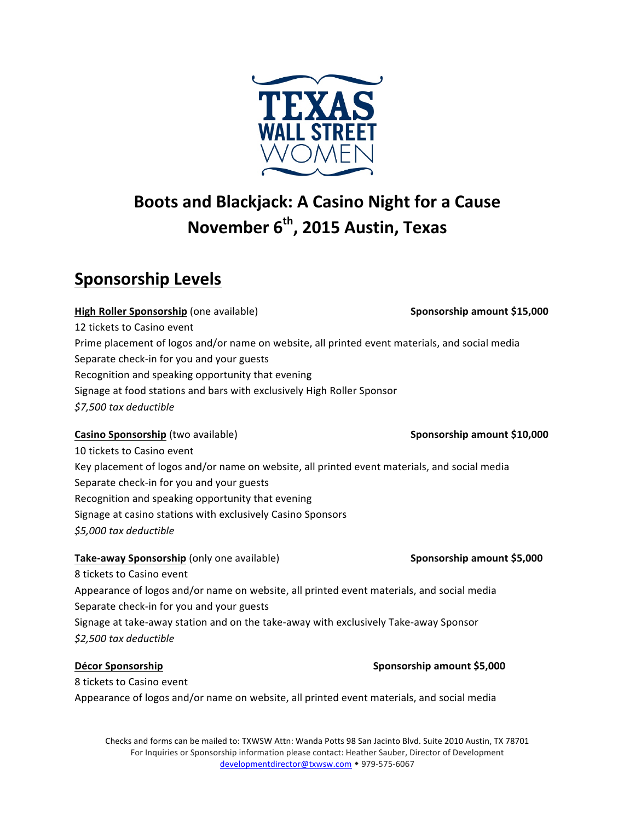

# **Boots and Blackjack: A Casino Night for a Cause November 6<sup>th</sup>, 2015 Austin, Texas**

# **Sponsorship Levels**

**High Roller Sponsorship** (one available) **Sponsorship amount \$15,000 Sponsorship amount \$15,000** 12 tickets to Casino event Prime placement of logos and/or name on website, all printed event materials, and social media Separate check-in for you and your guests Recognition and speaking opportunity that evening Signage at food stations and bars with exclusively High Roller Sponsor *\$7,500 tax deductible* 

# **Casino Sponsorship** (two available) **Sponsorship amount \$10,000 Sponsorship amount \$10,000**

10 tickets to Casino event Key placement of logos and/or name on website, all printed event materials, and social media Separate check-in for you and your guests Recognition and speaking opportunity that evening Signage at casino stations with exclusively Casino Sponsors *\$5,000 tax deductible* 

**Take-away Sponsorship** (only one available) **Sponsorship amount \$5,000** 8 tickets to Casino event Appearance of logos and/or name on website, all printed event materials, and social media Separate check-in for you and your guests Signage at take-away station and on the take-away with exclusively Take-away Sponsor *\$2,500 tax deductible* 

**Décor Sponsorship Sponsorship Sponsorship Sponsorship Sponsorship Sponsorship Sponsorship Sponsorship Sponsorship Sponsorship Sponsorship Sponsorship Sponsorship Sponsorship Sponsorship Spons** 

8 tickets to Casino event Appearance of logos and/or name on website, all printed event materials, and social media

Checks and forms can be mailed to: TXWSW Attn: Wanda Potts 98 San Jacinto Blvd. Suite 2010 Austin, TX 78701 For Inquiries or Sponsorship information please contact: Heather Sauber, Director of Development developmentdirector@txwsw.com • 979-575-6067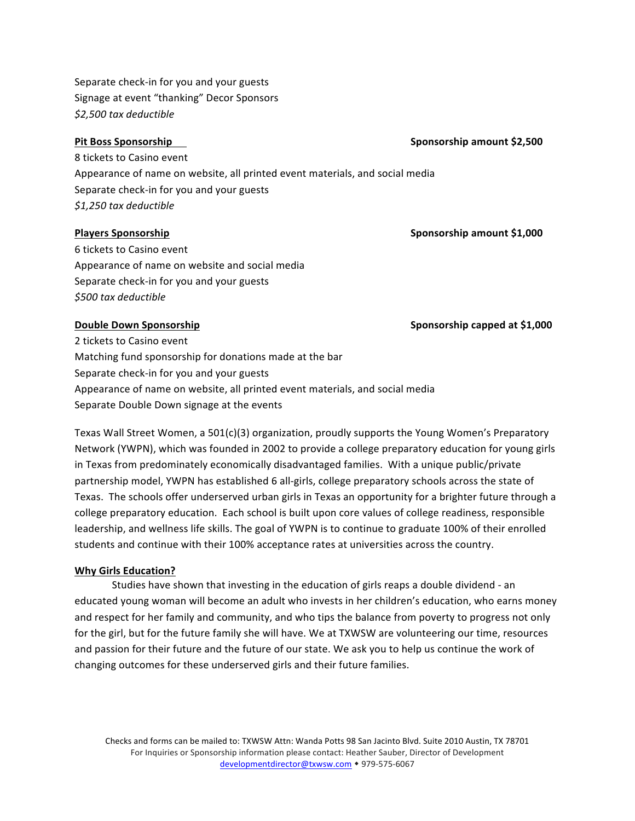Separate check-in for you and your guests Signage at event "thanking" Decor Sponsors *\$2,500 tax deductible* 

**Pit Boss Sponsorship Sponsorship Sponsorship Sponsorship Sponsorship Sponsorship SPONSORS** 

8 tickets to Casino event Appearance of name on website, all printed event materials, and social media Separate check-in for you and your guests *\$1,250 tax deductible* 

## **Players Sponsorship Sponsorship Sponsorship Sponsorship Sponsorship Sponsorship Sponsorship Sponsorship Sponsorship Sponsorship Sponsorship Sponsorship Sponsorship**

6 tickets to Casino event Appearance of name on website and social media Separate check-in for you and your guests *\$500 tax deductible* 

**Double Down Sponsorship <b>Sponsorship Sponsorship Sponsorship** capped at \$1,000

2 tickets to Casino event Matching fund sponsorship for donations made at the bar Separate check-in for you and your guests Appearance of name on website, all printed event materials, and social media Separate Double Down signage at the events

Texas Wall Street Women, a  $501(c)(3)$  organization, proudly supports the Young Women's Preparatory Network (YWPN), which was founded in 2002 to provide a college preparatory education for young girls in Texas from predominately economically disadvantaged families. With a unique public/private partnership model, YWPN has established 6 all-girls, college preparatory schools across the state of Texas. The schools offer underserved urban girls in Texas an opportunity for a brighter future through a college preparatory education. Each school is built upon core values of college readiness, responsible leadership, and wellness life skills. The goal of YWPN is to continue to graduate 100% of their enrolled students and continue with their 100% acceptance rates at universities across the country.

## **Why Girls Education?**

Studies have shown that investing in the education of girls reaps a double dividend - an educated young woman will become an adult who invests in her children's education, who earns money and respect for her family and community, and who tips the balance from poverty to progress not only for the girl, but for the future family she will have. We at TXWSW are volunteering our time, resources and passion for their future and the future of our state. We ask you to help us continue the work of changing outcomes for these underserved girls and their future families.